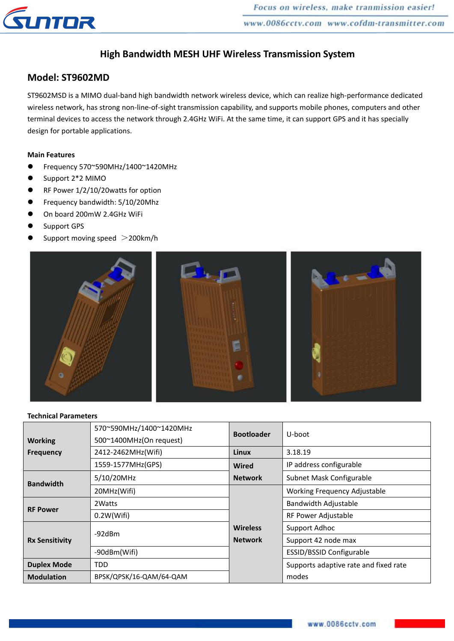

# **High Bandwidth MESH UHF Wireless Transmission System**

### **Model: ST9602MD**

ST9602MSD is a MIMO dual-band high bandwidth network wireless device, which can realize high-performance dedicated wireless network, has strong non-line-of-sight transmission capability, and supports mobile phones, computers and other terminal devices to access the network through 2.4GHz WiFi. At the same time, it can support GPS and it has specially design for portable applications.

### **Main Features**

- Frequency 570~590MHz/1400~1420MHz
- Support 2\*2 MIMO
- RF Power 1/2/10/20watts for option
- Frequency bandwidth: 5/10/20Mhz
- On board 200mW 2.4GHz WiFi
- Support GPS
- Support moving speed >200km/h



#### **Technical Parameters**

|                                    | 570~590MHz/1400~1420MHz | <b>Bootloader</b> | U-boot                                |  |
|------------------------------------|-------------------------|-------------------|---------------------------------------|--|
| <b>Working</b><br><b>Frequency</b> | 500~1400MHz(On request) |                   |                                       |  |
|                                    | 2412-2462MHz(Wifi)      | <b>Linux</b>      | 3.18.19                               |  |
|                                    | 1559-1577MHz(GPS)       | <b>Wired</b>      | IP address configurable               |  |
| <b>Bandwidth</b>                   | 5/10/20MHz              | <b>Network</b>    | Subnet Mask Configurable              |  |
|                                    | 20MHz(Wifi)             |                   | Working Frequency Adjustable          |  |
| <b>RF Power</b>                    | 2 Watts                 |                   | Bandwidth Adjustable                  |  |
|                                    | 0.2W(Wifi)              |                   | RF Power Adjustable                   |  |
| <b>Rx Sensitivity</b>              | $-92$ d $Bm$            | <b>Wireless</b>   | Support Adhoc                         |  |
|                                    |                         | <b>Network</b>    | Support 42 node max                   |  |
|                                    | -90dBm(Wifi)            |                   | <b>ESSID/BSSID Configurable</b>       |  |
| <b>Duplex Mode</b>                 | <b>TDD</b>              |                   | Supports adaptive rate and fixed rate |  |
| <b>Modulation</b>                  | BPSK/QPSK/16-QAM/64-QAM |                   | modes                                 |  |
|                                    |                         |                   |                                       |  |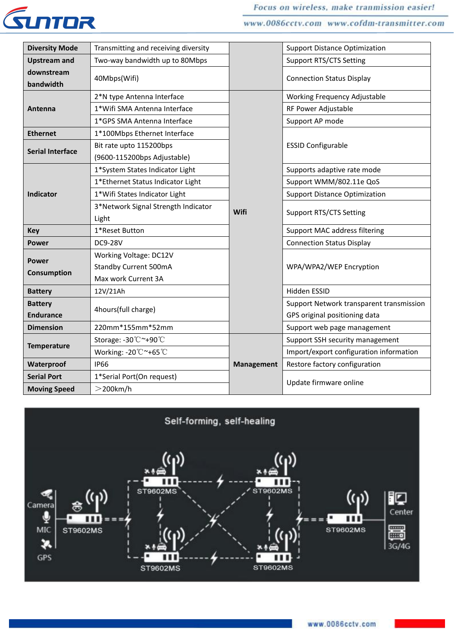

www.0086cctv.com www.cofdm-transmitter.com

| <b>Diversity Mode</b>   | Transmitting and receiving diversity |                   | <b>Support Distance Optimization</b>     |  |
|-------------------------|--------------------------------------|-------------------|------------------------------------------|--|
| <b>Upstream and</b>     | Two-way bandwidth up to 80Mbps       |                   | <b>Support RTS/CTS Setting</b>           |  |
| downstream<br>bandwidth | 40Mbps(Wifi)                         |                   | <b>Connection Status Display</b>         |  |
| Antenna                 | 2*N type Antenna Interface           |                   | Working Frequency Adjustable             |  |
|                         | 1*Wifi SMA Antenna Interface         |                   | RF Power Adjustable                      |  |
|                         | 1*GPS SMA Antenna Interface          |                   | Support AP mode                          |  |
| <b>Ethernet</b>         | 1*100Mbps Ethernet Interface         |                   | <b>ESSID Configurable</b>                |  |
| <b>Serial Interface</b> | Bit rate upto 115200bps              |                   |                                          |  |
|                         | (9600-115200bps Adjustable)          |                   |                                          |  |
| <b>Indicator</b>        | 1*System States Indicator Light      |                   | Supports adaptive rate mode              |  |
|                         | 1*Ethernet Status Indicator Light    |                   | Support WMM/802.11e QoS                  |  |
|                         | 1*Wifi States Indicator Light        |                   | <b>Support Distance Optimization</b>     |  |
|                         | 3*Network Signal Strength Indicator  | Wifi              | <b>Support RTS/CTS Setting</b>           |  |
|                         | Light                                |                   |                                          |  |
| <b>Key</b>              | 1*Reset Button                       |                   | Support MAC address filtering            |  |
| <b>Power</b>            | <b>DC9-28V</b>                       |                   | <b>Connection Status Display</b>         |  |
| <b>Power</b>            | Working Voltage: DC12V               |                   |                                          |  |
| Consumption             | <b>Standby Current 500mA</b>         |                   | WPA/WPA2/WEP Encryption                  |  |
|                         | Max work Current 3A                  |                   |                                          |  |
| <b>Battery</b>          | 12V/21Ah                             |                   | Hidden ESSID                             |  |
| <b>Battery</b>          | 4hours(full charge)                  |                   | Support Network transparent transmission |  |
| <b>Endurance</b>        |                                      |                   | GPS original positioning data            |  |
| <b>Dimension</b>        | 220mm*155mm*52mm                     |                   | Support web page management              |  |
| <b>Temperature</b>      | Storage: -30 °C ~+90 °C              |                   | Support SSH security management          |  |
|                         | Working: -20°C~+65°C                 |                   | Import/export configuration information  |  |
| Waterproof              | <b>IP66</b>                          | <b>Management</b> | Restore factory configuration            |  |
| <b>Serial Port</b>      | 1*Serial Port(On request)            |                   | Update firmware online                   |  |
| <b>Moving Speed</b>     | $>$ 200 $km/h$                       |                   |                                          |  |